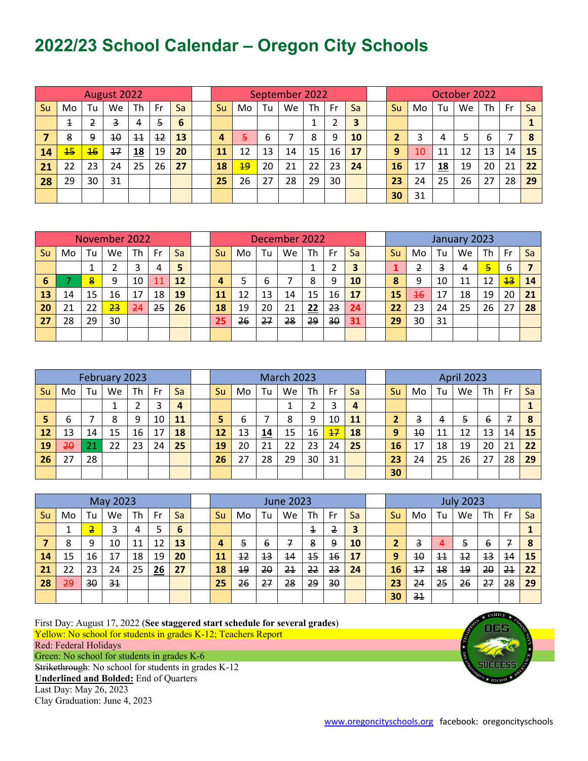## **2022/23 School Calendar – Oregon City Schools**

| August 2022 |     |                 |    |                 |    |    |  | September 2022 |    |    |    |    |    |    |  | October 2022 |    |    |    |    |    |    |  |
|-------------|-----|-----------------|----|-----------------|----|----|--|----------------|----|----|----|----|----|----|--|--------------|----|----|----|----|----|----|--|
| Su          | Mo. | Tu              | We | Th              | Fr | Sa |  | Su             | Mo | Tu | We | Th | Fr | Sa |  | Su           | Mo | Tu | We | Th | Fr | Sa |  |
|             | 1   | 2               | 3  | 4               | 5  | 6  |  |                |    |    |    |    |    | 3  |  |              |    |    |    |    |    |    |  |
|             | 8   | 9               | 10 | $\overline{11}$ | 12 | 13 |  | 4              | 5. | 6  |    | 8  | 9  | 10 |  |              | 3  | 4  |    | 6  |    | 8  |  |
| 14          | 15  | $\overline{46}$ | 17 | 18              | 19 | 20 |  | 11             | 12 | 13 | 14 | 15 | 16 | 17 |  | 9            | 10 | 11 | 12 | 13 | 14 | 15 |  |
| 21          | 22  | 23              | 24 | 25              | 26 | 27 |  | 18             | 49 | 20 | 21 | 22 | 23 | 24 |  | 16           | 17 | 18 | 19 | 20 | 21 | 22 |  |
| 28          | 29  | 30              | 31 |                 |    |    |  | 25             | 26 | 27 | 28 | 29 | 30 |    |  | 23           | 24 | 25 | 26 | 27 | 28 | 29 |  |
|             |     |                 |    |                 |    |    |  |                |    |    |    |    |    |    |  | 30           | 31 |    |    |    |    |    |  |

| November 2022 |    |    |    |       |    |    | December 2022 |    |    |    |    |    |    |  | January 2023 |                 |    |    |                |                 |    |
|---------------|----|----|----|-------|----|----|---------------|----|----|----|----|----|----|--|--------------|-----------------|----|----|----------------|-----------------|----|
| Su            | Mo | Tu | We | Th    | Fr | Sa | Su            | Mo | Tu | We | Th | Fr | Sa |  | Su           | Mo              | Tu | We | Th             | - Fr            | Sa |
|               |    |    |    |       | 4  | 5  |               |    |    |    |    | า  |    |  |              | 2               | 3  |    | $\overline{5}$ | 6               |    |
| 6             |    | 8  | 9  | 10    | 11 | 12 | 4             |    | 6  |    | 8  | 9  | 10 |  | 8            | 9               | 10 | 11 | 12             | $\overline{43}$ | 14 |
| 13            | 14 | 15 | 16 | 17    | 18 | 19 | 11            | 12 | 13 | 14 | 15 | 16 | 17 |  | 15           | $\overline{46}$ | 17 | 18 | 19             | 20              | 21 |
| 20            |    | 22 | 23 | $-24$ | 25 | 26 | 18            | 19 | 20 | 21 | 22 | 23 | 24 |  | 22           | 23              | 24 | 25 | 26             | 27              | 28 |
| 27            | 28 | 29 | 30 |       |    |    | 25            | 26 | 27 | 28 | 29 | 30 | 31 |  | 29           | 30              | 31 |    |                |                 |    |
|               |    |    |    |       |    |    |               |    |    |    |    |    |    |  |              |                 |    |    |                |                 |    |

| February 2023 |    |    |    |    |    |    | <b>March 2023</b> |    |    |    |    |                 |    |  | <b>April 2023</b> |    |    |    |    |    |    |
|---------------|----|----|----|----|----|----|-------------------|----|----|----|----|-----------------|----|--|-------------------|----|----|----|----|----|----|
| Su            | Mo | Tu | We | Th | Fr | Sa | Su                | Mo | Tu | We | Th | Fr              | Sa |  | Su.               | Mo | Tu | We | Th | Fr | Sa |
|               |    |    |    |    | 3  | 4  |                   |    |    |    |    | 3               | 4  |  |                   |    |    |    |    |    |    |
|               | ь  |    | 8  | q  | 10 | 11 | 5                 | b  |    | 8  | 9  | 10              | 11 |  |                   | 3  | 4  | ÷. | b  | 7  | 8  |
| 12            | 13 | 14 | 15 | 16 | 17 | 18 | 12                | 13 | 14 | 15 | 16 | $\overline{17}$ | 18 |  | 9                 | 10 | 11 | 12 | 13 | 14 | 15 |
| 19            | 20 | 21 | 22 | 23 | 24 | 25 | 19                | 20 | 21 | 22 | 23 | 24              | 25 |  | 16                | 17 | 18 | 19 | 20 | 21 | 22 |
| 26            | דר | 28 |    |    |    |    | 26                | 27 | 28 | 29 | 30 | 31              |    |  | 23                | 24 | 25 | 26 | 27 | 28 | 29 |
|               |    |    |    |    |    |    |                   |    |    |    |    |                 |    |  | 30                |    |    |    |    |    |    |

| May 2023 |               |    |           |    |    |    | <b>June 2023</b> |    |    |    |                      |    |    |  | <b>July 2023</b> |                |                 |                   |                 |                |    |
|----------|---------------|----|-----------|----|----|----|------------------|----|----|----|----------------------|----|----|--|------------------|----------------|-----------------|-------------------|-----------------|----------------|----|
| Su       | Mo            | Tu | <b>We</b> | Th | Fr | Sa | Su               | Mo | Tu | We | Th                   | Fr | Sa |  | <b>Su</b>        | Mo             | Tu              | We                | Th              | Fr             | Sa |
|          |               | 2  |           | 4  | 5  | 6  |                  |    |    |    | $\hbox{\large\it I}$ | 2  | 3  |  |                  |                |                 |                   |                 |                |    |
|          | 8             | 9  | 10        | 11 | 12 | 13 | 4                | 5  | 6  | 7  | 8                    | 9  | 10 |  |                  | 3              | 4               | 5                 | 6               | 7              | 8  |
| 14       | 15            | 16 | 17        | 18 | 19 | 20 | 11               | 12 | 13 | 14 | $\overline{15}$      | 16 | 17 |  | 9                | 10             | $\overline{11}$ | $12 \overline{ }$ | $\overline{13}$ | 14             | 15 |
| 21       | 22            | 23 | 24        | 25 | 26 | 27 | 18               | 19 | 20 | 21 | 22                   | 23 | 24 |  | 16               | 17             | 18              | 19                | 20              | 2 <sub>1</sub> | 22 |
| 28       | <del>29</del> | 30 | 31        |    |    |    | 25               | 26 | 27 | 28 | 29                   | 30 |    |  | 23               | 24             | 25              | 26                | 27              | 28             | 29 |
|          |               |    |           |    |    |    |                  |    |    |    |                      |    |    |  | 30               | 3 <sub>1</sub> |                 |                   |                 |                |    |

First Day: August 17, 2022 (**See staggered start schedule for several grades**) Yellow: No school for students in grades K-12; Teachers Report Red: Federal Holidays Green: No school for students in grades K-6

Strikethrough: No school for students in grades K-12 **Underlined and Bolded:** End of Quarters Last Day: May 26, 2023 Clay Graduation: June 4, 2023